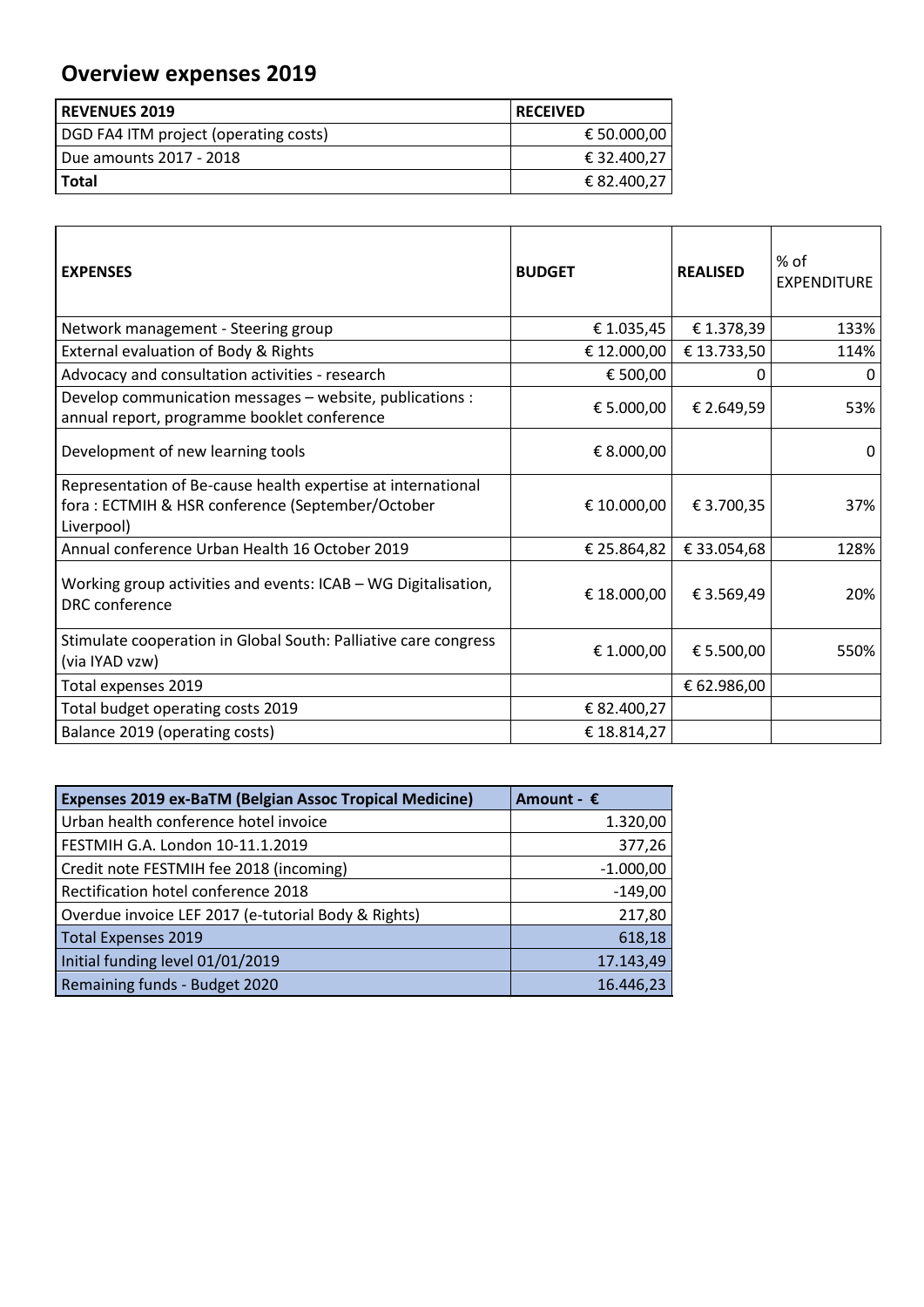## **Overview expenses 2019**

| l REVENUES 2019                       | l RECEIVED  |
|---------------------------------------|-------------|
| DGD FA4 ITM project (operating costs) | € 50.000,00 |
| Due amounts 2017 - 2018               | € 32.400,27 |
| l Total                               | € 82.400,27 |

| <b>EXPENSES</b>                                                                                                                | <b>BUDGET</b> | <b>REALISED</b> | % of<br><b>EXPENDITURE</b> |
|--------------------------------------------------------------------------------------------------------------------------------|---------------|-----------------|----------------------------|
| Network management - Steering group                                                                                            | € 1.035,45    | €1.378,39       | 133%                       |
| External evaluation of Body & Rights                                                                                           | € 12.000,00   | € 13.733,50     | 114%                       |
| Advocacy and consultation activities - research                                                                                | € 500,00      |                 | O                          |
| Develop communication messages - website, publications :<br>annual report, programme booklet conference                        | € 5.000,00    | € 2.649,59      | 53%                        |
| Development of new learning tools                                                                                              | € 8.000,00    |                 | 0                          |
| Representation of Be-cause health expertise at international<br>fora: ECTMIH & HSR conference (September/October<br>Liverpool) | € 10.000,00   | € 3.700,35      | 37%                        |
| Annual conference Urban Health 16 October 2019                                                                                 | € 25.864,82   | € 33.054,68     | 128%                       |
| Working group activities and events: ICAB - WG Digitalisation,<br>DRC conference                                               | € 18.000,00   | € 3.569,49      | 20%                        |
| Stimulate cooperation in Global South: Palliative care congress<br>(via IYAD vzw)                                              | € 1.000,00    | € 5.500,00      | 550%                       |
| Total expenses 2019                                                                                                            |               | € 62.986,00     |                            |
| Total budget operating costs 2019                                                                                              | € 82.400,27   |                 |                            |
| Balance 2019 (operating costs)                                                                                                 | € 18.814,27   |                 |                            |

| <b>Expenses 2019 ex-BaTM (Belgian Assoc Tropical Medicine)</b> | Amount - €  |
|----------------------------------------------------------------|-------------|
| Urban health conference hotel invoice                          | 1.320,00    |
| FESTMIH G.A. London 10-11.1.2019                               | 377,26      |
| Credit note FESTMIH fee 2018 (incoming)                        | $-1.000,00$ |
| Rectification hotel conference 2018                            | $-149,00$   |
| Overdue invoice LEF 2017 (e-tutorial Body & Rights)            | 217,80      |
| <b>Total Expenses 2019</b>                                     | 618,18      |
| Initial funding level 01/01/2019                               | 17.143,49   |
| Remaining funds - Budget 2020                                  | 16.446,23   |